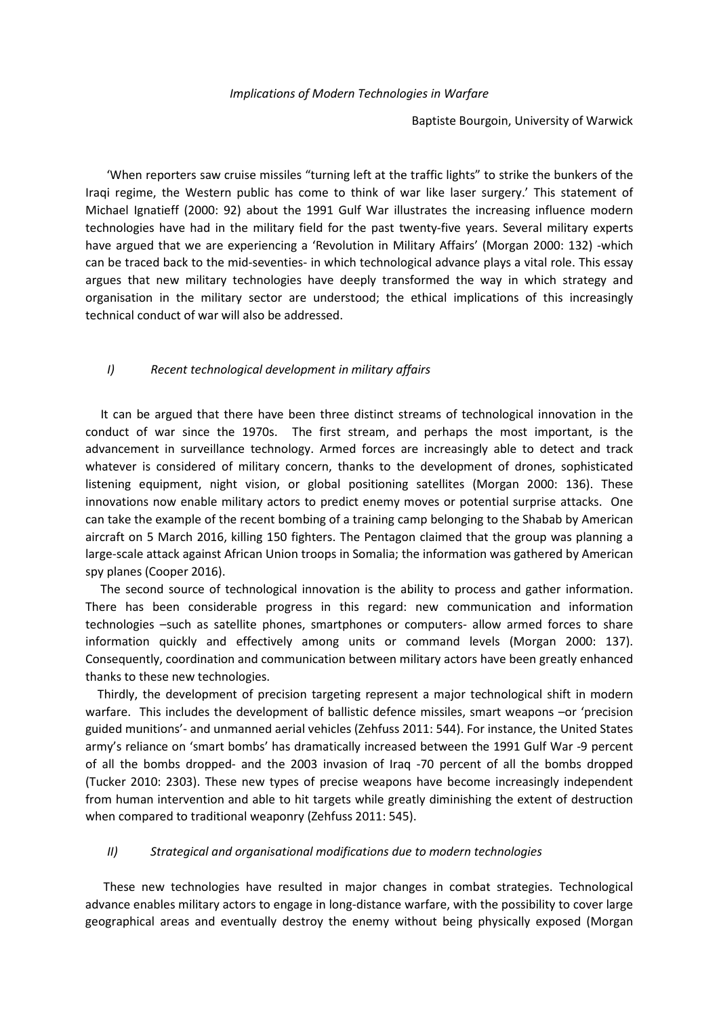## *Implications of Modern Technologies in Warfare*

Baptiste Bourgoin, University of Warwick

 'When reporters saw cruise missiles "turning left at the traffic lights" to strike the bunkers of the Iraqi regime, the Western public has come to think of war like laser surgery.' This statement of Michael Ignatieff (2000: 92) about the 1991 Gulf War illustrates the increasing influence modern technologies have had in the military field for the past twenty-five years. Several military experts have argued that we are experiencing a 'Revolution in Military Affairs' (Morgan 2000: 132) -which can be traced back to the mid-seventies- in which technological advance plays a vital role. This essay argues that new military technologies have deeply transformed the way in which strategy and organisation in the military sector are understood; the ethical implications of this increasingly technical conduct of war will also be addressed.

## *I) Recent technological development in military affairs*

 It can be argued that there have been three distinct streams of technological innovation in the conduct of war since the 1970s. The first stream, and perhaps the most important, is the advancement in surveillance technology. Armed forces are increasingly able to detect and track whatever is considered of military concern, thanks to the development of drones, sophisticated listening equipment, night vision, or global positioning satellites (Morgan 2000: 136). These innovations now enable military actors to predict enemy moves or potential surprise attacks. One can take the example of the recent bombing of a training camp belonging to the Shabab by American aircraft on 5 March 2016, killing 150 fighters. The Pentagon claimed that the group was planning a large-scale attack against African Union troops in Somalia; the information was gathered by American spy planes (Cooper 2016).

 The second source of technological innovation is the ability to process and gather information. There has been considerable progress in this regard: new communication and information technologies –such as satellite phones, smartphones or computers- allow armed forces to share information quickly and effectively among units or command levels (Morgan 2000: 137). Consequently, coordination and communication between military actors have been greatly enhanced thanks to these new technologies.

 Thirdly, the development of precision targeting represent a major technological shift in modern warfare. This includes the development of ballistic defence missiles, smart weapons –or 'precision guided munitions'- and unmanned aerial vehicles (Zehfuss 2011: 544). For instance, the United States army's reliance on 'smart bombs' has dramatically increased between the 1991 Gulf War -9 percent of all the bombs dropped- and the 2003 invasion of Iraq -70 percent of all the bombs dropped (Tucker 2010: 2303). These new types of precise weapons have become increasingly independent from human intervention and able to hit targets while greatly diminishing the extent of destruction when compared to traditional weaponry (Zehfuss 2011: 545).

## *II) Strategical and organisational modifications due to modern technologies*

 These new technologies have resulted in major changes in combat strategies. Technological advance enables military actors to engage in long-distance warfare, with the possibility to cover large geographical areas and eventually destroy the enemy without being physically exposed (Morgan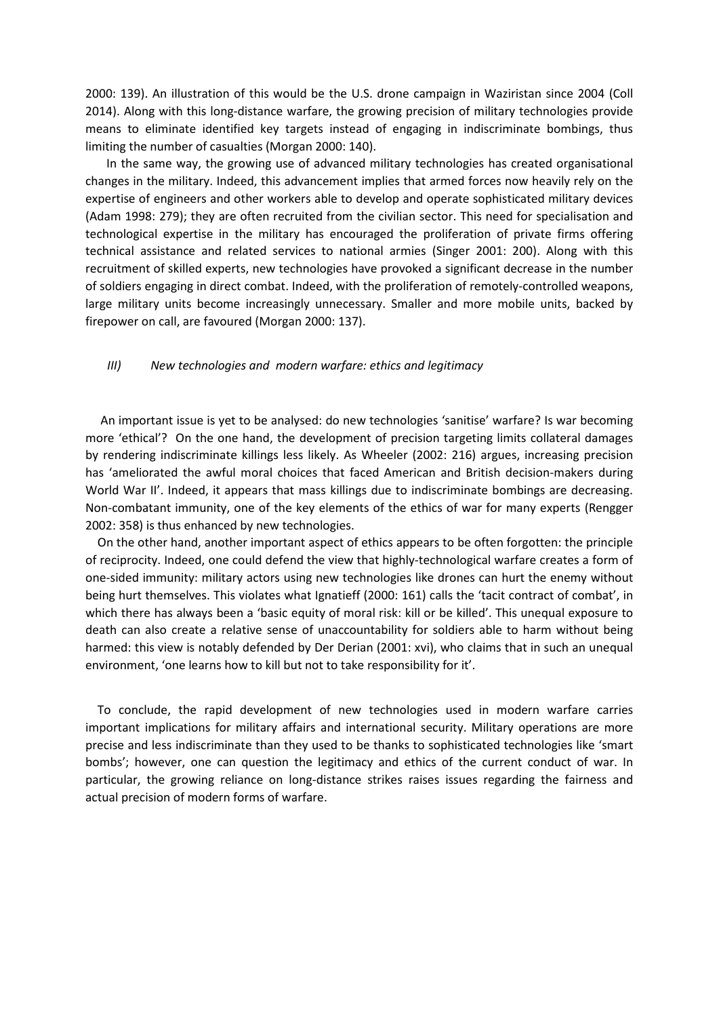2000: 139). An illustration of this would be the U.S. drone campaign in Waziristan since 2004 (Coll 2014). Along with this long-distance warfare, the growing precision of military technologies provide means to eliminate identified key targets instead of engaging in indiscriminate bombings, thus limiting the number of casualties (Morgan 2000: 140).

 In the same way, the growing use of advanced military technologies has created organisational changes in the military. Indeed, this advancement implies that armed forces now heavily rely on the expertise of engineers and other workers able to develop and operate sophisticated military devices (Adam 1998: 279); they are often recruited from the civilian sector. This need for specialisation and technological expertise in the military has encouraged the proliferation of private firms offering technical assistance and related services to national armies (Singer 2001: 200). Along with this recruitment of skilled experts, new technologies have provoked a significant decrease in the number of soldiers engaging in direct combat. Indeed, with the proliferation of remotely-controlled weapons, large military units become increasingly unnecessary. Smaller and more mobile units, backed by firepower on call, are favoured (Morgan 2000: 137).

## *III) New technologies and modern warfare: ethics and legitimacy*

 An important issue is yet to be analysed: do new technologies 'sanitise' warfare? Is war becoming more 'ethical'? On the one hand, the development of precision targeting limits collateral damages by rendering indiscriminate killings less likely. As Wheeler (2002: 216) argues, increasing precision has 'ameliorated the awful moral choices that faced American and British decision-makers during World War II'. Indeed, it appears that mass killings due to indiscriminate bombings are decreasing. Non-combatant immunity, one of the key elements of the ethics of war for many experts (Rengger 2002: 358) is thus enhanced by new technologies.

 On the other hand, another important aspect of ethics appears to be often forgotten: the principle of reciprocity. Indeed, one could defend the view that highly-technological warfare creates a form of one-sided immunity: military actors using new technologies like drones can hurt the enemy without being hurt themselves. This violates what Ignatieff (2000: 161) calls the 'tacit contract of combat', in which there has always been a 'basic equity of moral risk: kill or be killed'. This unequal exposure to death can also create a relative sense of unaccountability for soldiers able to harm without being harmed: this view is notably defended by Der Derian (2001: xvi), who claims that in such an unequal environment, 'one learns how to kill but not to take responsibility for it'.

 To conclude, the rapid development of new technologies used in modern warfare carries important implications for military affairs and international security. Military operations are more precise and less indiscriminate than they used to be thanks to sophisticated technologies like 'smart bombs'; however, one can question the legitimacy and ethics of the current conduct of war. In particular, the growing reliance on long-distance strikes raises issues regarding the fairness and actual precision of modern forms of warfare.